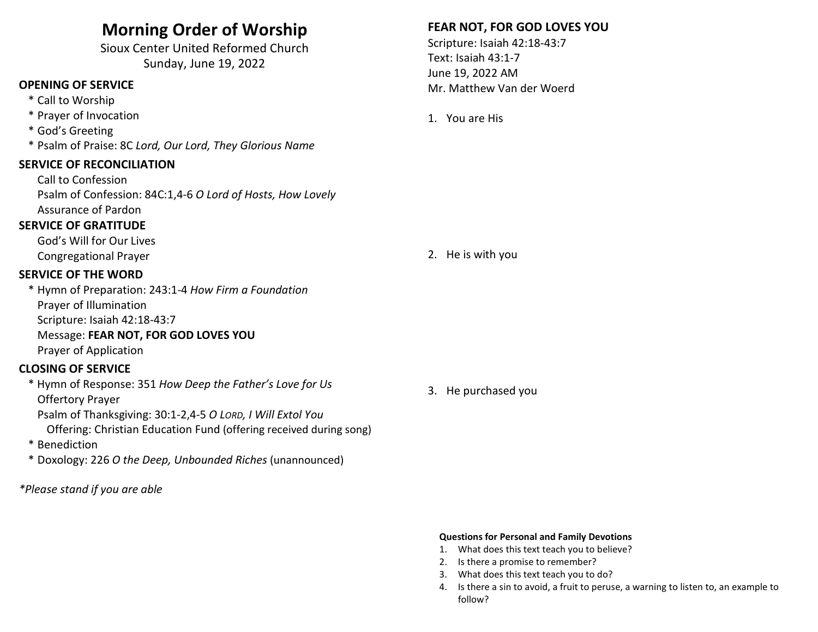# Morning Order of Worship

Sioux Center United Reformed Church Sunday, June 19, 2022

# OPENING OF SERVICE

- \* Call to Worship
- \* Prayer of Invocation
- \* God's Greeting
- \* Psalm of Praise: 8C Lord, Our Lord, They Glorious Name

#### SERVICE OF RECONCILIATION

 Call to Confession Psalm of Confession: 84C:1,4-6 O Lord of Hosts, How Lovely Assurance of Pardon

### SERVICE OF GRATITUDE

 God's Will for Our Lives Congregational Prayer

#### SERVICE OF THE WORD

\* Hymn of Preparation: 243:1-4 How Firm a Foundation Prayer of Illumination Scripture: Isaiah 42:18-43:7 Message: FEAR NOT, FOR GOD LOVES YOU Prayer of Application

## CLOSING OF SERVICE

 \* Hymn of Response: 351 How Deep the Father's Love for Us Offertory Prayer

 Psalm of Thanksgiving: 30:1-2,4-5 O LORD, I Will Extol You Offering: Christian Education Fund (offering received during song)

- \* Benediction
- \* Doxology: 226 O the Deep, Unbounded Riches (unannounced)
- \*Please stand if you are able

# FEAR NOT, FOR GOD LOVES YOU

Scripture: Isaiah 42:18-43:7 Text: Isaiah 43:1-7 June 19, 2022 AM Mr. Matthew Van der Woerd

1. You are His

2. He is with you

3. He purchased you

#### Questions for Personal and Family Devotions

- 1. What does this text teach you to believe?
- 2. Is there a promise to remember?
- 3. What does this text teach you to do?
- 4. Is there a sin to avoid, a fruit to peruse, a warning to listen to, an example to follow?